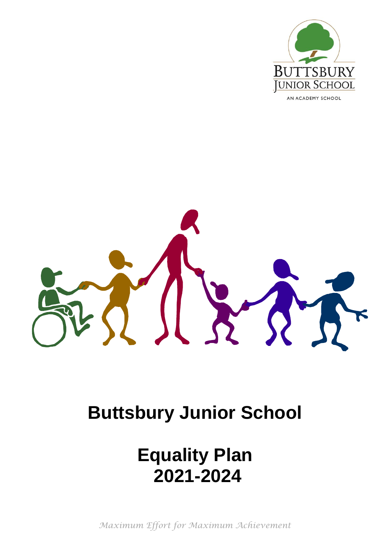

AN ACADEMY SCHOOL

# **Buttsbury Junior School**

# **Equality Plan 2021-2024**

*Maximum Effort for Maximum Achievement*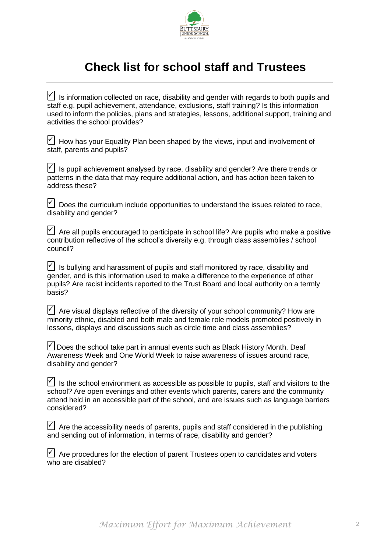

# **Check list for school staff and Trustees**

| $\sqrt{\phantom{a}}$ Is information collected on race, disability and gender with regards to both pupils and                    |  |
|---------------------------------------------------------------------------------------------------------------------------------|--|
| staff e.g. pupil achievement, attendance, exclusions, staff training? Is this information                                       |  |
| used to inform the policies, plans and strategies, lessons, additional support, training and<br>activities the school provides? |  |

 $\forall$  How has your Equality Plan been shaped by the views, input and involvement of staff, parents and pupils?

 $|V|$  is pupil achievement analysed by race, disability and gender? Are there trends or patterns in the data that may require additional action, and has action been taken to address these?

 $\forall$  Does the curriculum include opportunities to understand the issues related to race, disability and gender?

 $\Box$  Are all pupils encouraged to participate in school life? Are pupils who make a positive contribution reflective of the school's diversity e.g. through class assemblies / school council?

 $\triangledown$  Is bullying and harassment of pupils and staff monitored by race, disability and gender, and is this information used to make a difference to the experience of other pupils? Are racist incidents reported to the Trust Board and local authority on a termly basis?

 $\triangledown$  Are visual displays reflective of the diversity of your school community? How are minority ethnic, disabled and both male and female role models promoted positively in lessons, displays and discussions such as circle time and class assemblies?

 $\forall$  Does the school take part in annual events such as Black History Month, Deaf Awareness Week and One World Week to raise awareness of issues around race, disability and gender?

 $\forall$  Is the school environment as accessible as possible to pupils, staff and visitors to the school? Are open evenings and other events which parents, carers and the community attend held in an accessible part of the school, and are issues such as language barriers considered?

| $\vee$ Are the accessibility needs of parents, pupils and staff considered in the publishing |  |  |
|----------------------------------------------------------------------------------------------|--|--|
| and sending out of information, in terms of race, disability and gender?                     |  |  |

 $\forall$  Are procedures for the election of parent Trustees open to candidates and voters who are disabled?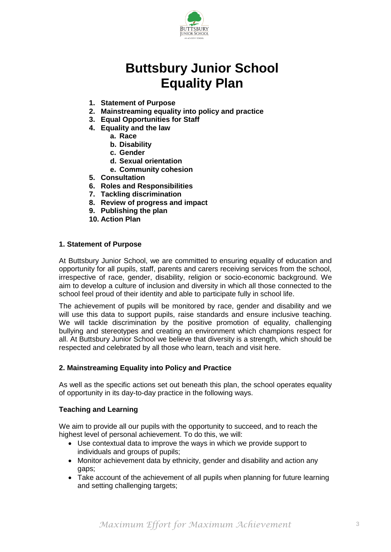

# **Buttsbury Junior School Equality Plan**

- **1. Statement of Purpose**
- **2. Mainstreaming equality into policy and practice**
- **3. Equal Opportunities for Staff**
- **4. Equality and the law**
	- **a. Race**
	- **b. Disability**
	- **c. Gender**
	- **d. Sexual orientation**
	- **e. Community cohesion**
- **5. Consultation**
- **6. Roles and Responsibilities**
- **7. Tackling discrimination**
- **8. Review of progress and impact**
- **9. Publishing the plan**
- **10. Action Plan**

#### **1. Statement of Purpose**

At Buttsbury Junior School, we are committed to ensuring equality of education and opportunity for all pupils, staff, parents and carers receiving services from the school, irrespective of race, gender, disability, religion or socio-economic background. We aim to develop a culture of inclusion and diversity in which all those connected to the school feel proud of their identity and able to participate fully in school life.

The achievement of pupils will be monitored by race, gender and disability and we will use this data to support pupils, raise standards and ensure inclusive teaching. We will tackle discrimination by the positive promotion of equality, challenging bullying and stereotypes and creating an environment which champions respect for all. At Buttsbury Junior School we believe that diversity is a strength, which should be respected and celebrated by all those who learn, teach and visit here.

#### **2. Mainstreaming Equality into Policy and Practice**

As well as the specific actions set out beneath this plan, the school operates equality of opportunity in its day-to-day practice in the following ways.

#### **Teaching and Learning**

We aim to provide all our pupils with the opportunity to succeed, and to reach the highest level of personal achievement. To do this, we will:

- Use contextual data to improve the ways in which we provide support to individuals and groups of pupils;
- Monitor achievement data by ethnicity, gender and disability and action any gaps;
- Take account of the achievement of all pupils when planning for future learning and setting challenging targets;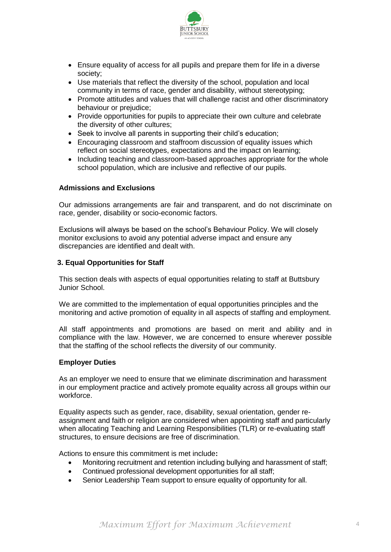

- Ensure equality of access for all pupils and prepare them for life in a diverse society;
- Use materials that reflect the diversity of the school, population and local community in terms of race, gender and disability, without stereotyping;
- Promote attitudes and values that will challenge racist and other discriminatory behaviour or prejudice;
- Provide opportunities for pupils to appreciate their own culture and celebrate the diversity of other cultures;
- Seek to involve all parents in supporting their child's education;
- Encouraging classroom and staffroom discussion of equality issues which reflect on social stereotypes, expectations and the impact on learning;
- Including teaching and classroom-based approaches appropriate for the whole school population, which are inclusive and reflective of our pupils.

#### **Admissions and Exclusions**

Our admissions arrangements are fair and transparent, and do not discriminate on race, gender, disability or socio-economic factors.

Exclusions will always be based on the school's Behaviour Policy. We will closely monitor exclusions to avoid any potential adverse impact and ensure any discrepancies are identified and dealt with.

#### **3. Equal Opportunities for Staff**

This section deals with aspects of equal opportunities relating to staff at Buttsbury Junior School.

We are committed to the implementation of equal opportunities principles and the monitoring and active promotion of equality in all aspects of staffing and employment.

All staff appointments and promotions are based on merit and ability and in compliance with the law. However, we are concerned to ensure wherever possible that the staffing of the school reflects the diversity of our community.

#### **Employer Duties**

As an employer we need to ensure that we eliminate discrimination and harassment in our employment practice and actively promote equality across all groups within our workforce.

Equality aspects such as gender, race, disability, sexual orientation, gender reassignment and faith or religion are considered when appointing staff and particularly when allocating Teaching and Learning Responsibilities (TLR) or re-evaluating staff structures, to ensure decisions are free of discrimination.

Actions to ensure this commitment is met include**:** 

- Monitoring recruitment and retention including bullying and harassment of staff;
- Continued professional development opportunities for all staff;
- Senior Leadership Team support to ensure equality of opportunity for all.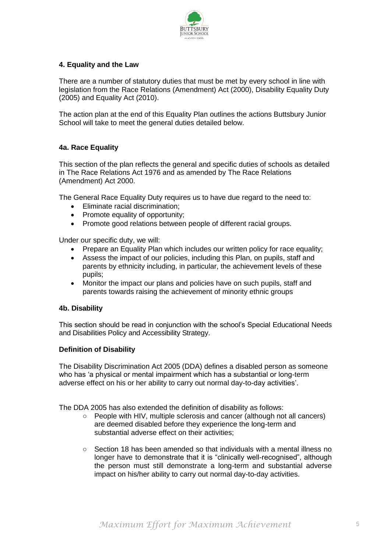

## **4. Equality and the Law**

There are a number of statutory duties that must be met by every school in line with legislation from the Race Relations (Amendment) Act (2000), Disability Equality Duty (2005) and Equality Act (2010).

The action plan at the end of this Equality Plan outlines the actions Buttsbury Junior School will take to meet the general duties detailed below.

#### **4a. Race Equality**

This section of the plan reflects the general and specific duties of schools as detailed in The Race Relations Act 1976 and as amended by The Race Relations (Amendment) Act 2000.

The General Race Equality Duty requires us to have due regard to the need to:

- Eliminate racial discrimination:
- Promote equality of opportunity;
- Promote good relations between people of different racial groups.

Under our specific duty, we will:

- Prepare an Equality Plan which includes our written policy for race equality;
- Assess the impact of our policies, including this Plan, on pupils, staff and parents by ethnicity including, in particular, the achievement levels of these pupils;
- Monitor the impact our plans and policies have on such pupils, staff and parents towards raising the achievement of minority ethnic groups

#### **4b. Disability**

This section should be read in conjunction with the school's Special Educational Needs and Disabilities Policy and Accessibility Strategy.

#### **Definition of Disability**

The Disability Discrimination Act 2005 (DDA) defines a disabled person as someone who has 'a physical or mental impairment which has a substantial or long-term adverse effect on his or her ability to carry out normal day-to-day activities'.

The DDA 2005 has also extended the definition of disability as follows:

- People with HIV, multiple sclerosis and cancer (although not all cancers) are deemed disabled before they experience the long-term and substantial adverse effect on their activities;
- $\circ$  Section 18 has been amended so that individuals with a mental illness no longer have to demonstrate that it is "clinically well-recognised", although the person must still demonstrate a long-term and substantial adverse impact on his/her ability to carry out normal day-to-day activities.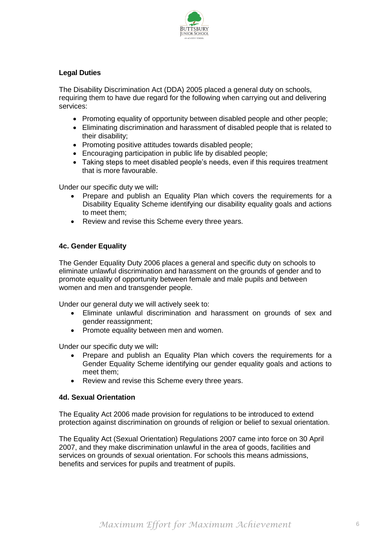

## **Legal Duties**

The Disability Discrimination Act (DDA) 2005 placed a general duty on schools, requiring them to have due regard for the following when carrying out and delivering services:

- Promoting equality of opportunity between disabled people and other people;
- Eliminating discrimination and harassment of disabled people that is related to their disability;
- Promoting positive attitudes towards disabled people;
- Encouraging participation in public life by disabled people;
- Taking steps to meet disabled people's needs, even if this requires treatment that is more favourable.

Under our specific duty we will**:**

- Prepare and publish an Equality Plan which covers the requirements for a Disability Equality Scheme identifying our disability equality goals and actions to meet them;
- Review and revise this Scheme every three years.

#### **4c. Gender Equality**

The Gender Equality Duty 2006 places a general and specific duty on schools to eliminate unlawful discrimination and harassment on the grounds of gender and to promote equality of opportunity between female and male pupils and between women and men and transgender people.

Under our general duty we will actively seek to:

- Eliminate unlawful discrimination and harassment on grounds of sex and gender reassignment;
- Promote equality between men and women.

Under our specific duty we will**:**

- Prepare and publish an Equality Plan which covers the requirements for a Gender Equality Scheme identifying our gender equality goals and actions to meet them;
- Review and revise this Scheme every three years.

#### **4d. Sexual Orientation**

The Equality Act 2006 made provision for regulations to be introduced to extend protection against discrimination on grounds of religion or belief to sexual orientation.

The Equality Act (Sexual Orientation) Regulations 2007 came into force on 30 April 2007, and they make discrimination unlawful in the area of goods, facilities and services on grounds of sexual orientation. For schools this means admissions, benefits and services for pupils and treatment of pupils.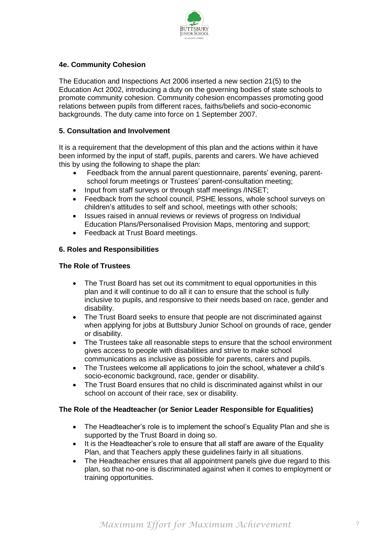

## **4e. Community Cohesion**

The Education and Inspections Act 2006 inserted a new section 21(5) to the Education Act 2002, introducing a duty on the governing bodies of state schools to promote community cohesion. Community cohesion encompasses promoting good relations between pupils from different races, faiths/beliefs and socio-economic backgrounds. The duty came into force on 1 September 2007.

#### **5. Consultation and Involvement**

It is a requirement that the development of this plan and the actions within it have been informed by the input of staff, pupils, parents and carers. We have achieved this by using the following to shape the plan:

- Feedback from the annual parent questionnaire, parents' evening, parentschool forum meetings or Trustees' parent-consultation meeting;
- Input from staff surveys or through staff meetings /INSET;
- Feedback from the school council, PSHE lessons, whole school surveys on children's attitudes to self and school, meetings with other schools;
- Issues raised in annual reviews or reviews of progress on Individual Education Plans/Personalised Provision Maps, mentoring and support;
- Feedback at Trust Board meetings.

## **6. Roles and Responsibilities**

#### **The Role of Trustees**

- The Trust Board has set out its commitment to equal opportunities in this plan and it will continue to do all it can to ensure that the school is fully inclusive to pupils, and responsive to their needs based on race, gender and disability.
- The Trust Board seeks to ensure that people are not discriminated against when applying for jobs at Buttsbury Junior School on grounds of race, gender or disability.
- The Trustees take all reasonable steps to ensure that the school environment gives access to people with disabilities and strive to make school communications as inclusive as possible for parents, carers and pupils.
- The Trustees welcome all applications to join the school, whatever a child's socio-economic background, race, gender or disability.
- The Trust Board ensures that no child is discriminated against whilst in our school on account of their race, sex or disability.

#### **The Role of the Headteacher (or Senior Leader Responsible for Equalities)**

- The Headteacher's role is to implement the school's Equality Plan and she is supported by the Trust Board in doing so.
- It is the Headteacher's role to ensure that all staff are aware of the Equality Plan, and that Teachers apply these guidelines fairly in all situations.
- The Headteacher ensures that all appointment panels give due regard to this plan, so that no-one is discriminated against when it comes to employment or training opportunities.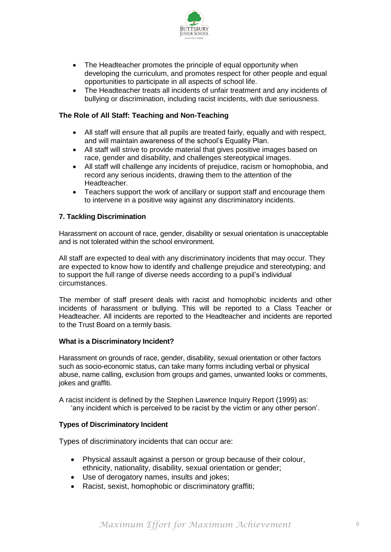

- The Headteacher promotes the principle of equal opportunity when developing the curriculum, and promotes respect for other people and equal opportunities to participate in all aspects of school life.
- The Headteacher treats all incidents of unfair treatment and any incidents of bullying or discrimination, including racist incidents, with due seriousness.

#### **The Role of All Staff: Teaching and Non-Teaching**

- All staff will ensure that all pupils are treated fairly, equally and with respect, and will maintain awareness of the school's Equality Plan.
- All staff will strive to provide material that gives positive images based on race, gender and disability, and challenges stereotypical images.
- All staff will challenge any incidents of prejudice, racism or homophobia, and record any serious incidents, drawing them to the attention of the Headteacher.
- Teachers support the work of ancillary or support staff and encourage them to intervene in a positive way against any discriminatory incidents.

#### **7. Tackling Discrimination**

Harassment on account of race, gender, disability or sexual orientation is unacceptable and is not tolerated within the school environment.

All staff are expected to deal with any discriminatory incidents that may occur. They are expected to know how to identify and challenge prejudice and stereotyping; and to support the full range of diverse needs according to a pupil's individual circumstances.

The member of staff present deals with racist and homophobic incidents and other incidents of harassment or bullying. This will be reported to a Class Teacher or Headteacher. All incidents are reported to the Headteacher and incidents are reported to the Trust Board on a termly basis.

#### **What is a Discriminatory Incident?**

Harassment on grounds of race, gender, disability, sexual orientation or other factors such as socio-economic status, can take many forms including verbal or physical abuse, name calling, exclusion from groups and games, unwanted looks or comments, jokes and graffiti.

A racist incident is defined by the Stephen Lawrence Inquiry Report (1999) as: 'any incident which is perceived to be racist by the victim or any other person'.

#### **Types of Discriminatory Incident**

Types of discriminatory incidents that can occur are:

- Physical assault against a person or group because of their colour, ethnicity, nationality, disability, sexual orientation or gender;
- Use of derogatory names, insults and jokes;
- Racist, sexist, homophobic or discriminatory graffiti;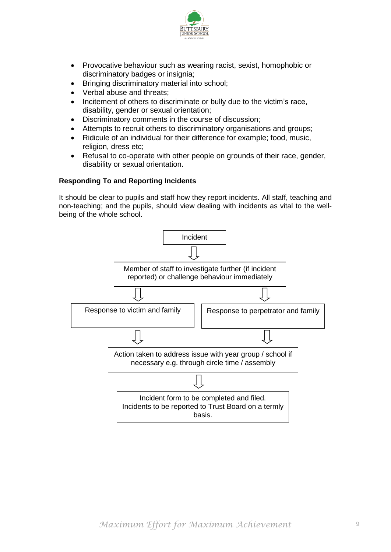

- Provocative behaviour such as wearing racist, sexist, homophobic or discriminatory badges or insignia;
- Bringing discriminatory material into school;
- Verbal abuse and threats;
- Incitement of others to discriminate or bully due to the victim's race, disability, gender or sexual orientation;
- Discriminatory comments in the course of discussion;
- Attempts to recruit others to discriminatory organisations and groups;
- Ridicule of an individual for their difference for example; food, music, religion, dress etc;
- Refusal to co-operate with other people on grounds of their race, gender, disability or sexual orientation.

## **Responding To and Reporting Incidents**

It should be clear to pupils and staff how they report incidents. All staff, teaching and non-teaching; and the pupils, should view dealing with incidents as vital to the wellbeing of the whole school.

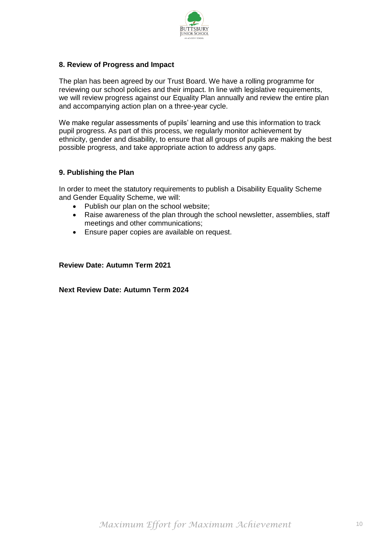

#### **8. Review of Progress and Impact**

The plan has been agreed by our Trust Board. We have a rolling programme for reviewing our school policies and their impact. In line with legislative requirements, we will review progress against our Equality Plan annually and review the entire plan and accompanying action plan on a three-year cycle.

We make regular assessments of pupils' learning and use this information to track pupil progress. As part of this process, we regularly monitor achievement by ethnicity, gender and disability, to ensure that all groups of pupils are making the best possible progress, and take appropriate action to address any gaps.

## **9. Publishing the Plan**

In order to meet the statutory requirements to publish a Disability Equality Scheme and Gender Equality Scheme, we will:

- Publish our plan on the school website;
- Raise awareness of the plan through the school newsletter, assemblies, staff meetings and other communications;
- Ensure paper copies are available on request.

#### **Review Date: Autumn Term 2021**

**Next Review Date: Autumn Term 2024**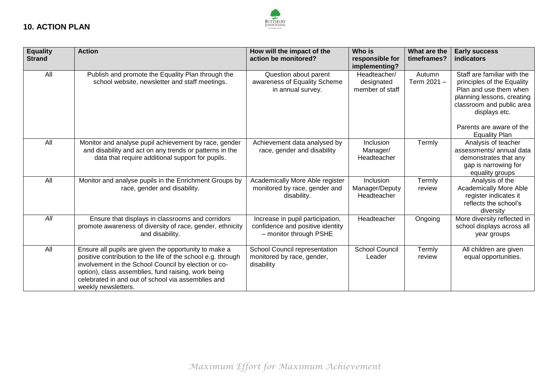

| <b>Equality</b><br><b>Strand</b> | <b>Action</b>                                                                                                                                                                                                                                                                                                     | How will the impact of the<br>action be monitored?                                             | Who is<br>responsible for<br>implementing?    | What are the<br>timeframes? | <b>Early success</b><br>indicators                                                                                                                                                          |
|----------------------------------|-------------------------------------------------------------------------------------------------------------------------------------------------------------------------------------------------------------------------------------------------------------------------------------------------------------------|------------------------------------------------------------------------------------------------|-----------------------------------------------|-----------------------------|---------------------------------------------------------------------------------------------------------------------------------------------------------------------------------------------|
| All                              | Publish and promote the Equality Plan through the<br>school website, newsletter and staff meetings.                                                                                                                                                                                                               | Question about parent<br>awareness of Equality Scheme<br>in annual survey.                     | Headteacher/<br>designated<br>member of staff | Autumn<br>Term 2021-        | Staff are familiar with the<br>principles of the Equality<br>Plan and use them when<br>planning lessons, creating<br>classroom and public area<br>displays etc.<br>Parents are aware of the |
| All                              | Monitor and analyse pupil achievement by race, gender<br>and disability and act on any trends or patterns in the<br>data that require additional support for pupils.                                                                                                                                              | Achievement data analysed by<br>race, gender and disability                                    | Inclusion<br>Manager/<br>Headteacher          | Termly                      | <b>Equality Plan</b><br>Analysis of teacher<br>assessments/annual data<br>demonstrates that any<br>gap is narrowing for<br>equality groups                                                  |
| All                              | Monitor and analyse pupils in the Enrichment Groups by<br>race, gender and disability.                                                                                                                                                                                                                            | Academically More Able register<br>monitored by race, gender and<br>disability.                | Inclusion<br>Manager/Deputy<br>Headteacher    | Termly<br>review            | Analysis of the<br><b>Academically More Able</b><br>register indicates it<br>reflects the school's<br>diversity                                                                             |
| All                              | Ensure that displays in classrooms and corridors<br>promote awareness of diversity of race, gender, ethnicity<br>and disability.                                                                                                                                                                                  | Increase in pupil participation,<br>confidence and positive identity<br>- monitor through PSHE | Headteacher                                   | Ongoing                     | More diversity reflected in<br>school displays across all<br>year groups                                                                                                                    |
| All                              | Ensure all pupils are given the opportunity to make a<br>positive contribution to the life of the school e.g. through<br>involvement in the School Council by election or co-<br>option), class assemblies, fund raising, work being<br>celebrated in and out of school via assemblies and<br>weekly newsletters. | School Council representation<br>monitored by race, gender,<br>disability                      | <b>School Council</b><br>Leader               | Termly<br>review            | All children are given<br>equal opportunities.                                                                                                                                              |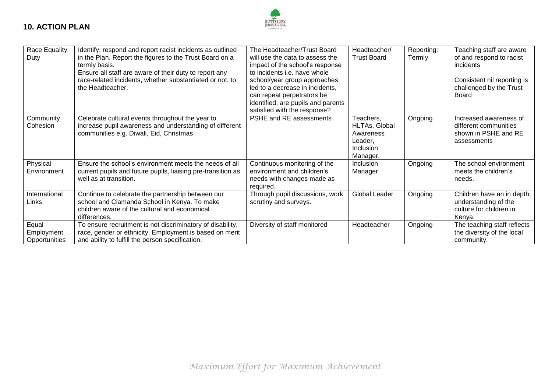

| Race Equality<br>Duty                | Identify, respond and report racist incidents as outlined<br>in the Plan. Report the figures to the Trust Board on a<br>termly basis.<br>Ensure all staff are aware of their duty to report any<br>race-related incidents, whether substantiated or not, to<br>the Headteacher. | The Headteacher/Trust Board<br>will use the data to assess the<br>impact of the school's response<br>to incidents i.e. have whole<br>school/year group approaches<br>led to a decrease in incidents,<br>can repeat perpetrators be<br>identified, are pupils and parents<br>satisfied with the response? | Headteacher/<br><b>Trust Board</b>                                          | Reporting:<br>Termly | Teaching staff are aware<br>of and respond to racist<br>incidents<br>Consistent nil reporting is<br>challenged by the Trust<br>Board |
|--------------------------------------|---------------------------------------------------------------------------------------------------------------------------------------------------------------------------------------------------------------------------------------------------------------------------------|----------------------------------------------------------------------------------------------------------------------------------------------------------------------------------------------------------------------------------------------------------------------------------------------------------|-----------------------------------------------------------------------------|----------------------|--------------------------------------------------------------------------------------------------------------------------------------|
| Community<br>Cohesion                | Celebrate cultural events throughout the year to<br>increase pupil awareness and understanding of different<br>communities e.g. Diwali, Eid, Christmas.                                                                                                                         | PSHE and RE assessments                                                                                                                                                                                                                                                                                  | Teachers,<br>HLTAs, Global<br>Awareness<br>Leader,<br>Inclusion<br>Manager. | Ongoing              | Increased awareness of<br>different communities<br>shown in PSHE and RE<br>assessments                                               |
| Physical<br>Environment              | Ensure the school's environment meets the needs of all<br>current pupils and future pupils, liaising pre-transition as<br>well as at transition.                                                                                                                                | Continuous monitoring of the<br>environment and children's<br>needs with changes made as<br>required.                                                                                                                                                                                                    | Inclusion<br>Manager                                                        | Ongoing              | The school environment<br>meets the children's<br>needs.                                                                             |
| International<br>Links               | Continue to celebrate the partnership between our<br>school and Ciamanda School in Kenya. To make<br>children aware of the cultural and economical<br>differences.                                                                                                              | Through pupil discussions, work<br>scrutiny and surveys.                                                                                                                                                                                                                                                 | <b>Global Leader</b>                                                        | Ongoing              | Children have an in depth<br>understanding of the<br>culture for children in<br>Kenya.                                               |
| Equal<br>Employment<br>Opportunities | To ensure recruitment is not discriminatory of disability,<br>race, gender or ethnicity. Employment is based on merit<br>and ability to fulfill the person specification.                                                                                                       | Diversity of staff monitored                                                                                                                                                                                                                                                                             | Headteacher                                                                 | Ongoing              | The teaching staff reflects<br>the diversity of the local<br>community.                                                              |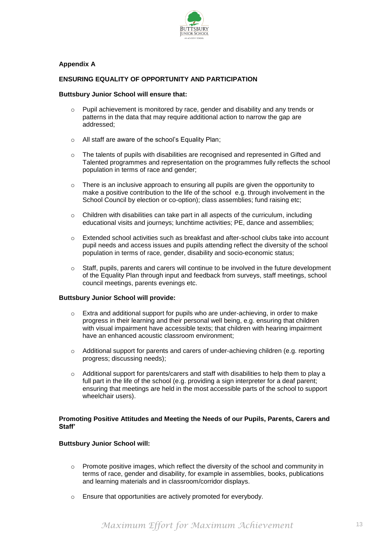

#### **Appendix A**

#### **ENSURING EQUALITY OF OPPORTUNITY AND PARTICIPATION**

#### **Buttsbury Junior School will ensure that:**

- o Pupil achievement is monitored by race, gender and disability and any trends or patterns in the data that may require additional action to narrow the gap are addressed;
- o All staff are aware of the school's Equality Plan;
- o The talents of pupils with disabilities are recognised and represented in Gifted and Talented programmes and representation on the programmes fully reflects the school population in terms of race and gender;
- o There is an inclusive approach to ensuring all pupils are given the opportunity to make a positive contribution to the life of the school e.g. through involvement in the School Council by election or co-option); class assemblies; fund raising etc;
- $\circ$  Children with disabilities can take part in all aspects of the curriculum, including educational visits and journeys; lunchtime activities; PE, dance and assemblies;
- $\circ$  Extended school activities such as breakfast and after-school clubs take into account pupil needs and access issues and pupils attending reflect the diversity of the school population in terms of race, gender, disability and socio-economic status;
- $\circ$  Staff, pupils, parents and carers will continue to be involved in the future development of the Equality Plan through input and feedback from surveys, staff meetings, school council meetings, parents evenings etc.

#### **Buttsbury Junior School will provide:**

- o Extra and additional support for pupils who are under-achieving, in order to make progress in their learning and their personal well being, e.g. ensuring that children with visual impairment have accessible texts; that children with hearing impairment have an enhanced acoustic classroom environment;
- $\circ$  Additional support for parents and carers of under-achieving children (e.g. reporting progress; discussing needs);
- $\circ$  Additional support for parents/carers and staff with disabilities to help them to play a full part in the life of the school (e.g. providing a sign interpreter for a deaf parent; ensuring that meetings are held in the most accessible parts of the school to support wheelchair users).

#### **Promoting Positive Attitudes and Meeting the Needs of our Pupils, Parents, Carers and Staff'**

#### **Buttsbury Junior School will:**

- $\circ$  Promote positive images, which reflect the diversity of the school and community in terms of race, gender and disability, for example in assemblies, books, publications and learning materials and in classroom/corridor displays.
- o Ensure that opportunities are actively promoted for everybody.